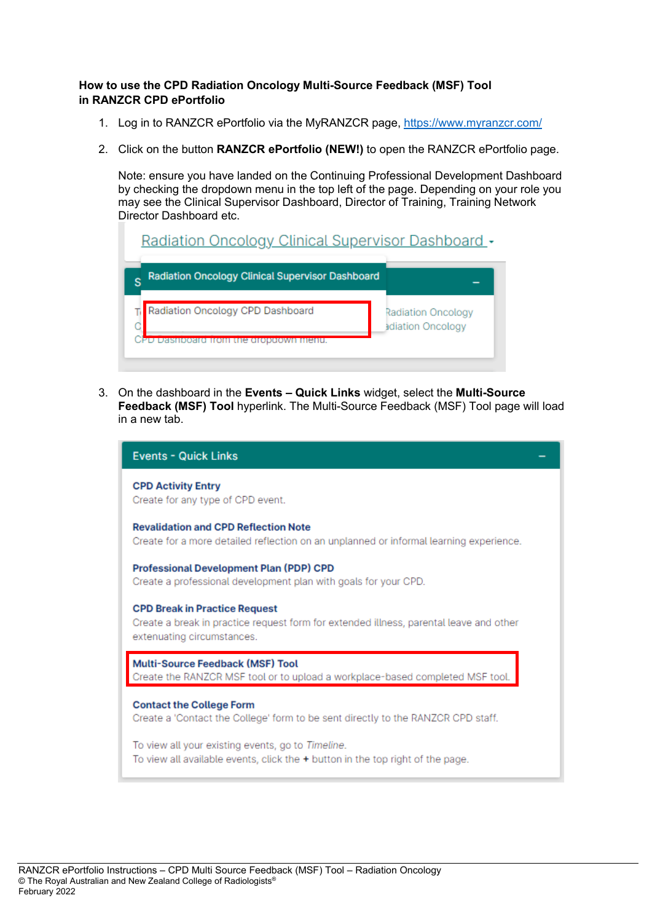## **How to use the CPD Radiation Oncology Multi-Source Feedback (MSF) Tool in RANZCR CPD ePortfolio**

- 1. Log in to RANZCR ePortfolio via the MyRANZCR page,<https://www.myranzcr.com/>
- 2. Click on the button **RANZCR ePortfolio (NEW!)** to open the RANZCR ePortfolio page.

Note: ensure you have landed on the Continuing Professional Development Dashboard by checking the dropdown menu in the top left of the page. Depending on your role you may see the Clinical Supervisor Dashboard, Director of Training, Training Network Director Dashboard etc.

| Radiation Oncology Clinical Supervisor Dashboard - |                                         |
|----------------------------------------------------|-----------------------------------------|
| Radiation Oncology Clinical Supervisor Dashboard   |                                         |
| Radiation Oncology CPD Dashboard<br>ie grobaown    | Radiation Oncology<br>adiation Oncology |

3. On the dashboard in the **Events – Quick Links** widget, select the **Multi-Source Feedback (MSF) Tool** hyperlink. The Multi-Source Feedback (MSF) Tool page will load in a new tab.

| <b>Events - Quick Links</b>                                                                                                                                  |
|--------------------------------------------------------------------------------------------------------------------------------------------------------------|
| <b>CPD Activity Entry</b><br>Create for any type of CPD event.                                                                                               |
| <b>Revalidation and CPD Reflection Note</b><br>Create for a more detailed reflection on an unplanned or informal learning experience.                        |
| <b>Professional Development Plan (PDP) CPD</b><br>Create a professional development plan with goals for your CPD.                                            |
| <b>CPD Break in Practice Request</b><br>Create a break in practice request form for extended illness, parental leave and other<br>extenuating circumstances. |
| <b>Multi-Source Feedback (MSF) Tool</b><br>Create the RANZCR MSF tool or to upload a workplace-based completed MSF tool.                                     |
| <b>Contact the College Form</b><br>Create a 'Contact the College' form to be sent directly to the RANZCR CPD staff.                                          |
| To view all your existing events, go to Timeline.<br>To view all available events, click the + button in the top right of the page.                          |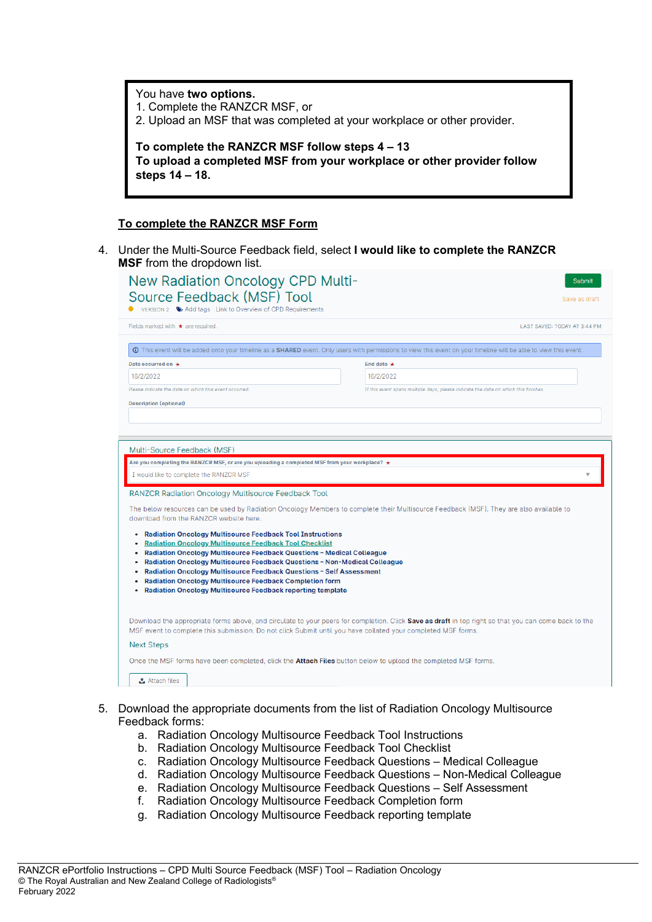You have **two options.** 1. Complete the RANZCR MSF, or 2. Upload an MSF that was completed at your workplace or other provider. **To complete the RANZCR MSF follow steps 4 – 13 To upload a completed MSF from your workplace or other provider follow steps 14 – 18.**

## **To complete the RANZCR MSF Form**

4. Under the Multi-Source Feedback field, select **I would like to complete the RANZCR MSF** from the dropdown list.

| Fields marked with $\star$ are required.                                                                                                                                                                                                                                    | LAST SAVED: TODAY AT 3:44 PM                                                                                                                                             |
|-----------------------------------------------------------------------------------------------------------------------------------------------------------------------------------------------------------------------------------------------------------------------------|--------------------------------------------------------------------------------------------------------------------------------------------------------------------------|
|                                                                                                                                                                                                                                                                             | <b>O</b> This event will be added onto your timeline as a SHARED event. Only users with permissions to view this event on your timeline will be able to view this event. |
| Date occurred on $\star$                                                                                                                                                                                                                                                    | End date $\star$                                                                                                                                                         |
| 16/2/2022                                                                                                                                                                                                                                                                   | 16/2/2022                                                                                                                                                                |
| Please indicate the date on which this event occurred.                                                                                                                                                                                                                      | If this event spans multiple days, please indicate the date on which this finishes.                                                                                      |
| Multi-Source Feedback (MSF)                                                                                                                                                                                                                                                 |                                                                                                                                                                          |
|                                                                                                                                                                                                                                                                             |                                                                                                                                                                          |
|                                                                                                                                                                                                                                                                             |                                                                                                                                                                          |
|                                                                                                                                                                                                                                                                             |                                                                                                                                                                          |
|                                                                                                                                                                                                                                                                             |                                                                                                                                                                          |
|                                                                                                                                                                                                                                                                             |                                                                                                                                                                          |
|                                                                                                                                                                                                                                                                             | The below resources can be used by Radiation Oncology Members to complete their Multisource Feedback (MSF). They are also available to                                   |
| I would like to complete the RANZCR MSF<br>• Radiation Oncology Multisource Feedback Tool Instructions                                                                                                                                                                      |                                                                                                                                                                          |
| <b>Radiation Oncology Multisource Feedback Tool Checklist</b>                                                                                                                                                                                                               |                                                                                                                                                                          |
| Radiation Oncology Multisource Feedback Questions - Medical Colleague<br>$\bullet$                                                                                                                                                                                          |                                                                                                                                                                          |
| Radiation Oncology Multisource Feedback Questions - Non-Medical Colleague<br>Radiation Oncology Multisource Feedback Questions - Self Assessment                                                                                                                            |                                                                                                                                                                          |
| <b>Radiation Oncology Multisource Feedback Completion form</b>                                                                                                                                                                                                              |                                                                                                                                                                          |
| Are you completing the RANZCR MSF, or are you uploading a completed MSF from your workplace? ★<br><b>RANZCR Radiation Oncology Multisource Feedback Tool</b><br>download from the RANZCR website here.<br><b>Radiation Oncology Multisource Feedback reporting template</b> |                                                                                                                                                                          |
|                                                                                                                                                                                                                                                                             |                                                                                                                                                                          |
|                                                                                                                                                                                                                                                                             | MSF event to complete this submission. Do not click Submit until you have collated your completed MSF forms.                                                             |
| <b>Next Steps</b>                                                                                                                                                                                                                                                           | Download the appropriate forms above, and circulate to your peers for completion. Click Save as draft in top right so that you can come back to the                      |

- 5. Download the appropriate documents from the list of Radiation Oncology Multisource Feedback forms:
	- a. Radiation Oncology Multisource Feedback Tool Instructions
	- b. Radiation Oncology Multisource Feedback Tool Checklist
	- c. Radiation Oncology Multisource Feedback Questions Medical Colleague
	- d. Radiation Oncology Multisource Feedback Questions Non-Medical Colleague
	- e. Radiation Oncology Multisource Feedback Questions Self Assessment
	- f. Radiation Oncology Multisource Feedback Completion form
	- g. Radiation Oncology Multisource Feedback reporting template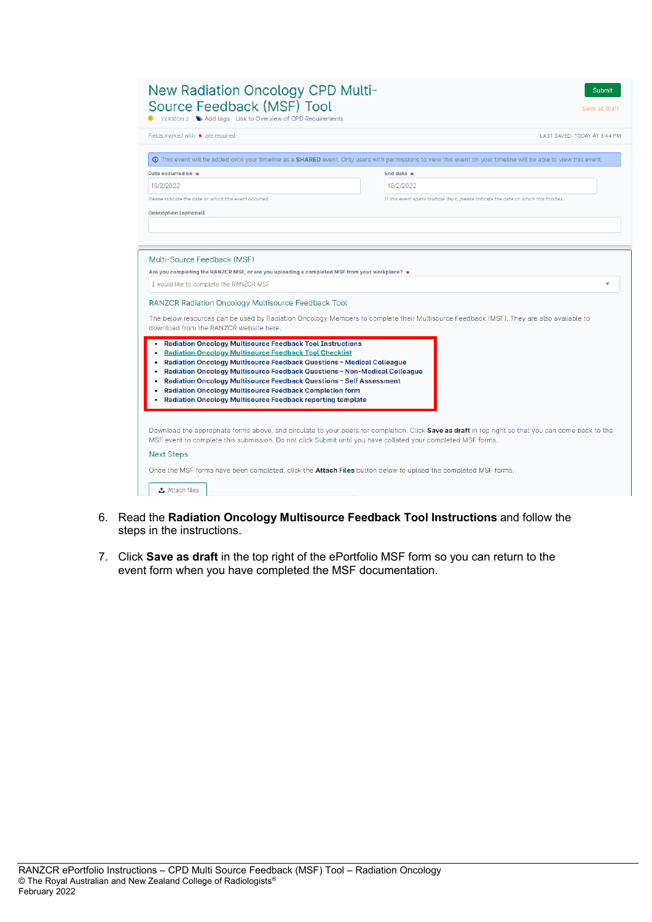| <b>New Radiation Oncology CPD Multi-</b><br>Source Feedback (MSF) Tool<br>VERSION 2 Add tags Link to Overview of CPD Requirements                                                                                                                                                                                                                                                                                                                                                                                  | Submit<br>Save as draft                                                                                                                                                                      |
|--------------------------------------------------------------------------------------------------------------------------------------------------------------------------------------------------------------------------------------------------------------------------------------------------------------------------------------------------------------------------------------------------------------------------------------------------------------------------------------------------------------------|----------------------------------------------------------------------------------------------------------------------------------------------------------------------------------------------|
| Fields marked with $\star$ are required.                                                                                                                                                                                                                                                                                                                                                                                                                                                                           | LAST SAVED: TODAY AT 3:44 PM                                                                                                                                                                 |
| Date occurred on $\star$                                                                                                                                                                                                                                                                                                                                                                                                                                                                                           | <b>O</b> This event will be added onto your timeline as a SHARED event. Only users with permissions to view this event on your timeline will be able to view this event.<br>End date $\star$ |
| 16/2/2022                                                                                                                                                                                                                                                                                                                                                                                                                                                                                                          | 16/2/2022                                                                                                                                                                                    |
| Please indicate the date on which this event occurred.                                                                                                                                                                                                                                                                                                                                                                                                                                                             | If this event spans multiple days, please indicate the date on which this finishes.                                                                                                          |
| Multi-Source Feedback (MSF)                                                                                                                                                                                                                                                                                                                                                                                                                                                                                        |                                                                                                                                                                                              |
| Are you completing the RANZCR MSF, or are you uploading a completed MSF from your workplace? $\star$                                                                                                                                                                                                                                                                                                                                                                                                               |                                                                                                                                                                                              |
| I would like to complete the RANZCR MSF                                                                                                                                                                                                                                                                                                                                                                                                                                                                            |                                                                                                                                                                                              |
| <b>RANZCR Radiation Oncology Multisource Feedback Tool</b><br>download from the RANZCR website here.                                                                                                                                                                                                                                                                                                                                                                                                               | The below resources can be used by Radiation Oncology Members to complete their Multisource Feedback (MSF). They are also available to                                                       |
| <b>Radiation Oncology Multisource Feedback Tool Instructions</b><br><b>Radiation Oncology Multisource Feedback Tool Checklist</b><br>Radiation Oncology Multisource Feedback Questions - Medical Colleague<br>Radiation Oncology Multisource Feedback Questions - Non-Medical Colleague<br>Radiation Oncology Multisource Feedback Questions - Self Assessment<br><b>Radiation Oncology Multisource Feedback Completion form</b><br><b>Radiation Oncology Multisource Feedback reporting template</b><br>$\bullet$ |                                                                                                                                                                                              |
| MSF event to complete this submission. Do not click Submit until you have collated your completed MSF forms.<br><b>Next Steps</b>                                                                                                                                                                                                                                                                                                                                                                                  | Download the appropriate forms above, and circulate to your peers for completion. Click Save as draft in top right so that you can come back to the                                          |
| Once the MSF forms have been completed, click the Attach Files button below to upload the completed MSF forms.<br><b>소</b> Attach files                                                                                                                                                                                                                                                                                                                                                                            |                                                                                                                                                                                              |

- 6. Read the **Radiation Oncology Multisource Feedback Tool Instructions** and follow the steps in the instructions.
- 7. Click **Save as draft** in the top right of the ePortfolio MSF form so you can return to the event form when you have completed the MSF documentation.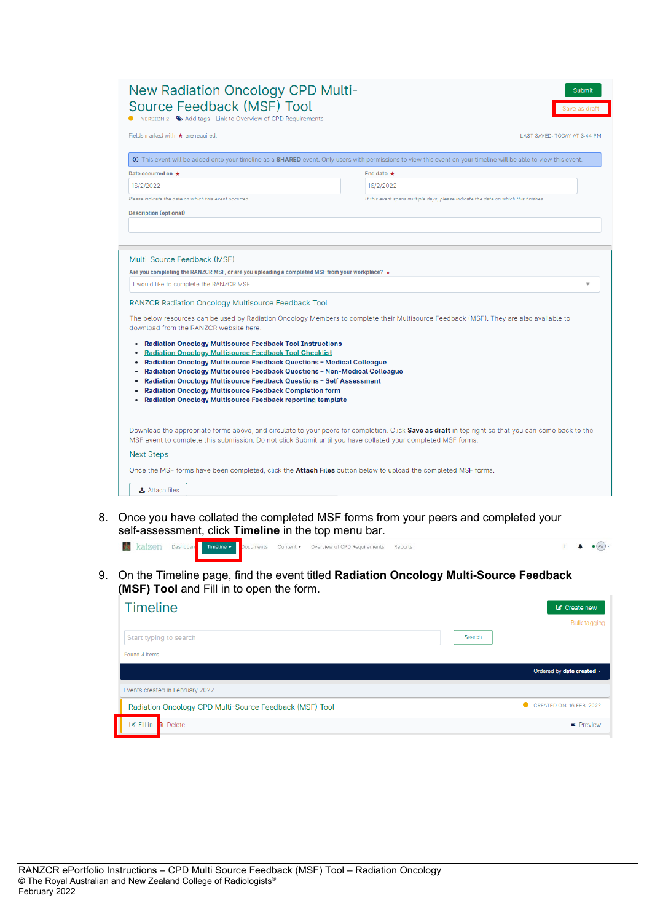| Fields marked with $\star$ are required.                                                                                                                                                                                                                                                                                                                                                                                                                                                              | LAST SAVED: TODAY AT 3:44 PM                                                                                                                                    |
|-------------------------------------------------------------------------------------------------------------------------------------------------------------------------------------------------------------------------------------------------------------------------------------------------------------------------------------------------------------------------------------------------------------------------------------------------------------------------------------------------------|-----------------------------------------------------------------------------------------------------------------------------------------------------------------|
|                                                                                                                                                                                                                                                                                                                                                                                                                                                                                                       | This event will be added onto your timeline as a SHARED event. Only users with permissions to view this event on your timeline will be able to view this event. |
| Date occurred on $\star$                                                                                                                                                                                                                                                                                                                                                                                                                                                                              | End date $\star$                                                                                                                                                |
| 16/2/2022                                                                                                                                                                                                                                                                                                                                                                                                                                                                                             | 16/2/2022                                                                                                                                                       |
| Please indicate the date on which this event occurred.                                                                                                                                                                                                                                                                                                                                                                                                                                                | If this event spans multiple days, please indicate the date on which this finishes.                                                                             |
| <b>Description (optional)</b>                                                                                                                                                                                                                                                                                                                                                                                                                                                                         |                                                                                                                                                                 |
|                                                                                                                                                                                                                                                                                                                                                                                                                                                                                                       |                                                                                                                                                                 |
|                                                                                                                                                                                                                                                                                                                                                                                                                                                                                                       |                                                                                                                                                                 |
|                                                                                                                                                                                                                                                                                                                                                                                                                                                                                                       |                                                                                                                                                                 |
| I would like to complete the RANZCR MSF                                                                                                                                                                                                                                                                                                                                                                                                                                                               |                                                                                                                                                                 |
| <b>RANZCR Radiation Oncology Multisource Feedback Tool</b>                                                                                                                                                                                                                                                                                                                                                                                                                                            |                                                                                                                                                                 |
| download from the RANZCR website here.                                                                                                                                                                                                                                                                                                                                                                                                                                                                | The below resources can be used by Radiation Oncology Members to complete their Multisource Feedback (MSF). They are also available to                          |
|                                                                                                                                                                                                                                                                                                                                                                                                                                                                                                       |                                                                                                                                                                 |
| • Radiation Oncology Multisource Feedback Tool Instructions<br><b>Radiation Oncology Multisource Feedback Tool Checklist</b><br>Radiation Oncology Multisource Feedback Questions - Medical Colleague<br>Radiation Oncology Multisource Feedback Questions - Non-Medical Colleague<br>٠<br>Radiation Oncology Multisource Feedback Questions - Self Assessment<br><b>Radiation Oncology Multisource Feedback Completion form</b><br><b>Radiation Oncology Multisource Feedback reporting template</b> |                                                                                                                                                                 |
| MSF event to complete this submission. Do not click Submit until you have collated your completed MSF forms.                                                                                                                                                                                                                                                                                                                                                                                          | Download the appropriate forms above, and circulate to your peers for completion. Click Save as draft in top right so that you can come back to the             |
| <b>Next Steps</b>                                                                                                                                                                                                                                                                                                                                                                                                                                                                                     |                                                                                                                                                                 |

8. Once you have collated the completed MSF forms from your peers and completed your self-assessment, click **Timeline** in the top menu bar.

|  |  |  | <b>X</b> kaizen Dashboard Timeline - Documents Content - Overview of CPD Requirements Reports |  |  |
|--|--|--|-----------------------------------------------------------------------------------------------|--|--|
|  |  |  |                                                                                               |  |  |

9. On the Timeline page, find the event titled **Radiation Oncology Multi-Source Feedback (MSF) Tool** and Fill in to open the form.

| <b>Timeline</b>                                         |        | C Create new                  |
|---------------------------------------------------------|--------|-------------------------------|
|                                                         |        | <b>Bulk tagging</b>           |
| Start typing to search                                  | Search |                               |
| Found 4 items                                           |        |                               |
|                                                         |        | Ordered by date created -     |
| Events created in February 2022                         |        |                               |
| Radiation Oncology CPD Multi-Source Feedback (MSF) Tool |        | ۰<br>CREATED ON: 16 FEB, 2022 |
| $\mathbb{Z}$ Fill in<br><b>In</b> Delete                |        | $\equiv$ Preview              |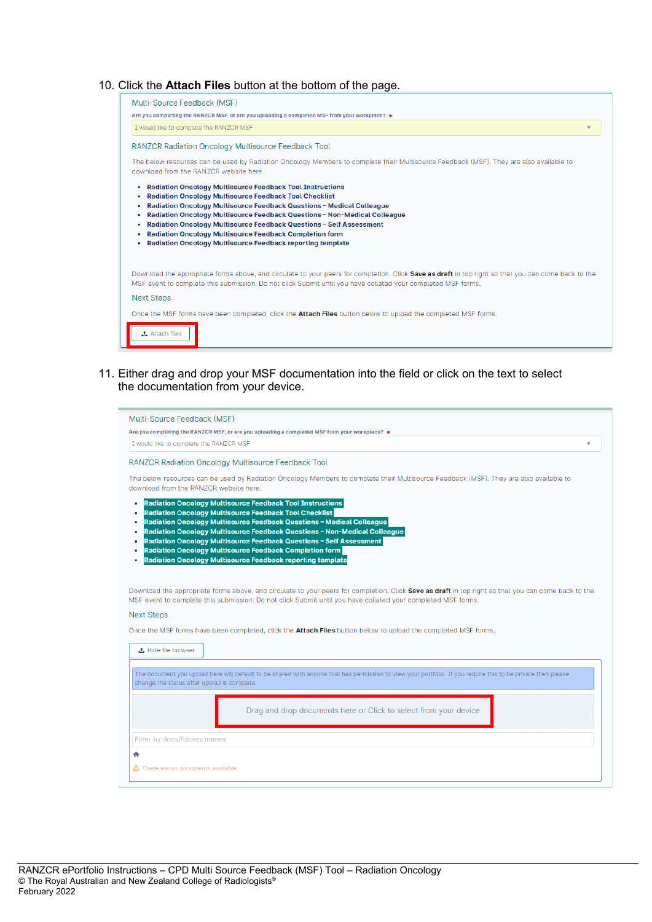## 10. Click the **Attach Files** button at the bottom of the page.

| Multi-Source Feedback (MSF)                                                                                                                                                                                                                                                                                                                                                                                                                                                                                                              |
|------------------------------------------------------------------------------------------------------------------------------------------------------------------------------------------------------------------------------------------------------------------------------------------------------------------------------------------------------------------------------------------------------------------------------------------------------------------------------------------------------------------------------------------|
| Are you completing the RANZCR MSF, or are you uploading a completed MSF from your workplace? $\star$                                                                                                                                                                                                                                                                                                                                                                                                                                     |
| I would like to complete the RANZCR MSF<br>$\overline{\mathbf{v}}$                                                                                                                                                                                                                                                                                                                                                                                                                                                                       |
| <b>RANZCR Radiation Oncology Multisource Feedback Tool</b>                                                                                                                                                                                                                                                                                                                                                                                                                                                                               |
| The below resources can be used by Radiation Oncology Members to complete their Multisource Feedback (MSF). They are also available to<br>download from the RANZCR website here.                                                                                                                                                                                                                                                                                                                                                         |
| <b>Radiation Oncology Multisource Feedback Tool Instructions</b><br>٠<br><b>Radiation Oncology Multisource Feedback Tool Checklist</b><br>٠<br>Radiation Oncology Multisource Feedback Questions - Medical Colleague<br>٠<br>Radiation Oncology Multisource Feedback Questions - Non-Medical Colleague<br>٠<br>Radiation Oncology Multisource Feedback Questions - Self Assessment<br>٠<br><b>Radiation Oncology Multisource Feedback Completion form</b><br>٠<br><b>Radiation Oncology Multisource Feedback reporting template</b><br>٠ |
| Download the appropriate forms above, and circulate to your peers for completion. Click Save as draft in top right so that you can come back to the<br>MSF event to complete this submission. Do not click Submit until you have collated your completed MSF forms.                                                                                                                                                                                                                                                                      |
| <b>Next Steps</b>                                                                                                                                                                                                                                                                                                                                                                                                                                                                                                                        |
| Once the MSF forms have been completed, click the <b>Attach Files</b> button below to upload the completed MSF forms.                                                                                                                                                                                                                                                                                                                                                                                                                    |
| <b>Attach files</b>                                                                                                                                                                                                                                                                                                                                                                                                                                                                                                                      |

11. Either drag and drop your MSF documentation into the field or click on the text to select the documentation from your device.

| Multi-Source Feedback (MSF)                                      |                                                                                                                                                                                                                                                                                                                                                                                                                                  |
|------------------------------------------------------------------|----------------------------------------------------------------------------------------------------------------------------------------------------------------------------------------------------------------------------------------------------------------------------------------------------------------------------------------------------------------------------------------------------------------------------------|
|                                                                  | Are you completing the RANZCR MSF, or are you uploading a completed MSF from your workplace? $\star$                                                                                                                                                                                                                                                                                                                             |
| I would like to complete the RANZCR MSF                          |                                                                                                                                                                                                                                                                                                                                                                                                                                  |
|                                                                  | <b>RANZCR Radiation Oncology Multisource Feedback Tool</b>                                                                                                                                                                                                                                                                                                                                                                       |
| download from the RANZCR website here.                           | The below resources can be used by Radiation Oncology Members to complete their Multisource Feedback (MSF). They are also available to                                                                                                                                                                                                                                                                                           |
| ۰<br>٠<br>٠<br>٠<br>٠                                            | <b>Radiation Oncology Multisource Feedback Tool Instructions</b><br><b>Radiation Oncology Multisource Feedback Tool Checklist</b><br>Radiation Oncology Multisource Feedback Questions - Medical Colleague<br>Radiation Oncology Multisource Feedback Questions - Non-Medical Colleague<br>Radiation Oncology Multisource Feedback Questions - Self Assessment<br><b>Radiation Oncology Multisource Feedback Completion form</b> |
|                                                                  | <b>Radiation Oncology Multisource Feedback reporting template</b>                                                                                                                                                                                                                                                                                                                                                                |
| <b>±</b> Hide file browser                                       | Download the appropriate forms above, and circulate to your peers for completion. Click Save as draft in top right so that you can come back to the<br>MSF event to complete this submission. Do not click Submit until you have collated your completed MSF forms.<br>Once the MSF forms have been completed, click the Attach Files button below to upload the completed MSF forms.                                            |
| <b>Next Steps</b><br>change the status after upload is complete. | The document you upload here will default to be shared with anyone that has permission to view your portfolio. If you require this to be private then please                                                                                                                                                                                                                                                                     |
|                                                                  | Drag and drop documents here or Click to select from your device                                                                                                                                                                                                                                                                                                                                                                 |
| Filter by docs/folders names                                     |                                                                                                                                                                                                                                                                                                                                                                                                                                  |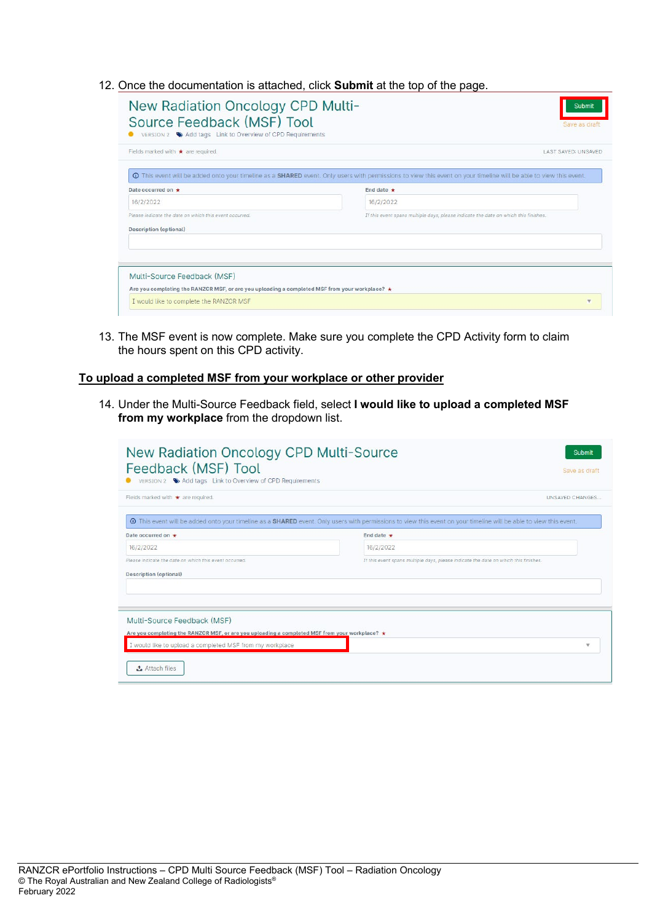12. Once the documentation is attached, click **Submit** at the top of the page.

|                                                        | <b>O</b> This event will be added onto your timeline as a SHARED event. Only users with permissions to view this event on your timeline will be able to view this event. |
|--------------------------------------------------------|--------------------------------------------------------------------------------------------------------------------------------------------------------------------------|
| Date occurred on $\div$                                | End date $\bigstar$                                                                                                                                                      |
| 16/2/2022                                              | 16/2/2022                                                                                                                                                                |
| Please indicate the date on which this event occurred. | If this event spans multiple days, please indicate the date on which this finishes.                                                                                      |
| <b>Description (optional)</b>                          |                                                                                                                                                                          |
|                                                        |                                                                                                                                                                          |
|                                                        |                                                                                                                                                                          |
|                                                        |                                                                                                                                                                          |

13. The MSF event is now complete. Make sure you complete the CPD Activity form to claim the hours spent on this CPD activity.

## **To upload a completed MSF from your workplace or other provider**

14. Under the Multi-Source Feedback field, select **I would like to upload a completed MSF from my workplace** from the dropdown list.

| New Radiation Oncology CPD Multi-Source<br>Feedback (MSF) Tool<br>VERSION 2 ♦ Add tags Link to Overview of CPD Requirements | Submit<br>Save as draft                                                                                                                                           |
|-----------------------------------------------------------------------------------------------------------------------------|-------------------------------------------------------------------------------------------------------------------------------------------------------------------|
| Fields marked with $\star$ are required.                                                                                    | UNSAVED CHANGES                                                                                                                                                   |
|                                                                                                                             | O This event will be added onto your timeline as a SHARED event. Only users with permissions to view this event on your timeline will be able to view this event. |
| Date occurred on *                                                                                                          | End date $\star$                                                                                                                                                  |
| 16/2/2022                                                                                                                   | 16/2/2022                                                                                                                                                         |
| Please indicate the date on which this event occurred.                                                                      | If this event spans multiple days, please indicate the date on which this finishes.                                                                               |
| <b>Description (optional)</b>                                                                                               |                                                                                                                                                                   |
|                                                                                                                             |                                                                                                                                                                   |
|                                                                                                                             |                                                                                                                                                                   |
| Multi-Source Feedback (MSF)                                                                                                 |                                                                                                                                                                   |
| Are you completing the RANZCR MSF, or are you uploading a completed MSF from your workplace? *                              |                                                                                                                                                                   |
| I would like to upload a completed MSF from my workplace                                                                    | v                                                                                                                                                                 |
| Attach files                                                                                                                |                                                                                                                                                                   |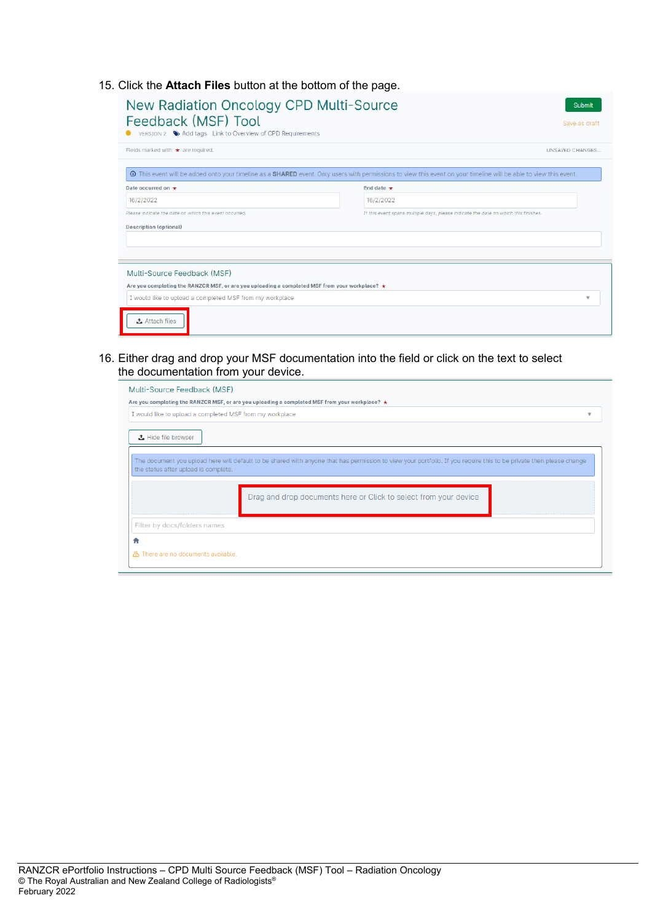15. Click the **Attach Files** button at the bottom of the page.

| Fields marked with * are required.                                                                   | UNSAVED CHANGES                                                                                                                                                 |
|------------------------------------------------------------------------------------------------------|-----------------------------------------------------------------------------------------------------------------------------------------------------------------|
|                                                                                                      | This event will be added onto your timeline as a SHARED event. Only users with permissions to view this event on your timeline will be able to view this event. |
| Date occurred on *                                                                                   | End date $\star$                                                                                                                                                |
| 16/2/2022                                                                                            | 16/2/2022                                                                                                                                                       |
| Please indicate the date on which this event occurred.                                               | If this event spans multiple days, please indicate the date on which this finishes.                                                                             |
| <b>Description (optional)</b>                                                                        |                                                                                                                                                                 |
|                                                                                                      |                                                                                                                                                                 |
|                                                                                                      |                                                                                                                                                                 |
| Multi-Source Feedback (MSF)                                                                          |                                                                                                                                                                 |
|                                                                                                      |                                                                                                                                                                 |
| Are you completing the RANZCR MSF, or are you uploading a completed MSF from your workplace? $\star$ |                                                                                                                                                                 |
|                                                                                                      |                                                                                                                                                                 |

16. Either drag and drop your MSF documentation into the field or click on the text to select the documentation from your device.

| Multi-Source Feedback (MSF)                              |                                                                                                                                                                     |                          |
|----------------------------------------------------------|---------------------------------------------------------------------------------------------------------------------------------------------------------------------|--------------------------|
|                                                          | Are you completing the RANZCR MSF, or are you uploading a completed MSF from your workplace? ★                                                                      |                          |
| I would like to upload a completed MSF from my workplace |                                                                                                                                                                     | $\overline{\phantom{a}}$ |
| <b>去</b> Hide file browser                               |                                                                                                                                                                     |                          |
| the status after upload is complete.                     | The document you upload here will default to be shared with anyone that has permission to view your portfolio. If you require this to be private then please change |                          |
|                                                          | Drag and drop documents here or Click to select from your device                                                                                                    |                          |
| Filter by docs/folders names                             |                                                                                                                                                                     |                          |
|                                                          |                                                                                                                                                                     |                          |
| △ There are no documents available.                      |                                                                                                                                                                     |                          |